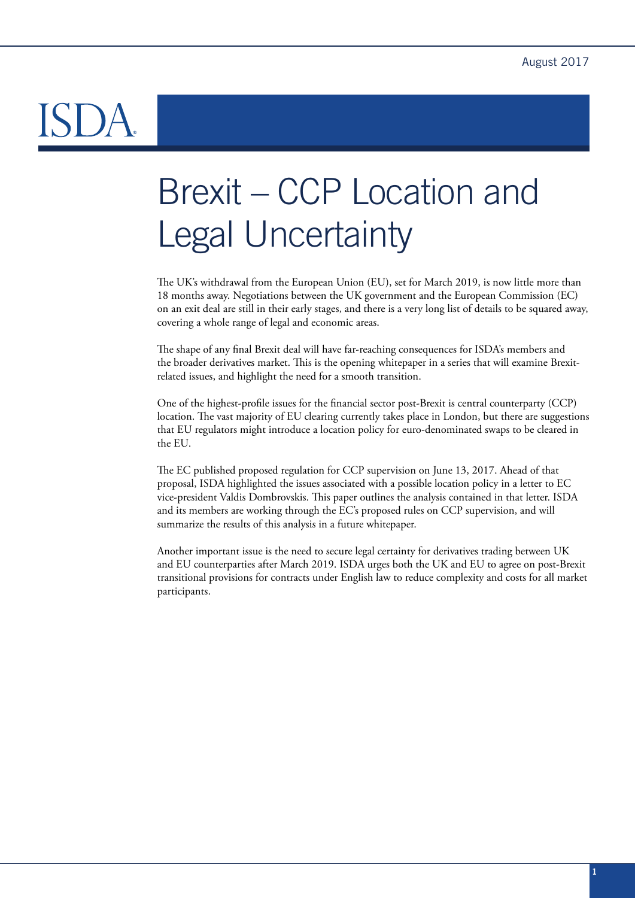# Brexit – CCP Location and Legal Uncertainty

The UK's withdrawal from the European Union (EU), set for March 2019, is now little more than 18 months away. Negotiations between the UK government and the European Commission (EC) on an exit deal are still in their early stages, and there is a very long list of details to be squared away, covering a whole range of legal and economic areas.

The shape of any final Brexit deal will have far-reaching consequences for ISDA's members and the broader derivatives market. This is the opening whitepaper in a series that will examine Brexitrelated issues, and highlight the need for a smooth transition.

One of the highest-profile issues for the financial sector post-Brexit is central counterparty (CCP) location. The vast majority of EU clearing currently takes place in London, but there are suggestions that EU regulators might introduce a location policy for euro-denominated swaps to be cleared in the EU.

The EC published proposed regulation for CCP supervision on June 13, 2017. Ahead of that proposal, ISDA highlighted the issues associated with a possible location policy in a letter to EC vice-president Valdis Dombrovskis. This paper outlines the analysis contained in that letter. ISDA and its members are working through the EC's proposed rules on CCP supervision, and will summarize the results of this analysis in a future whitepaper.

Another important issue is the need to secure legal certainty for derivatives trading between UK and EU counterparties after March 2019. ISDA urges both the UK and EU to agree on post-Brexit transitional provisions for contracts under English law to reduce complexity and costs for all market participants.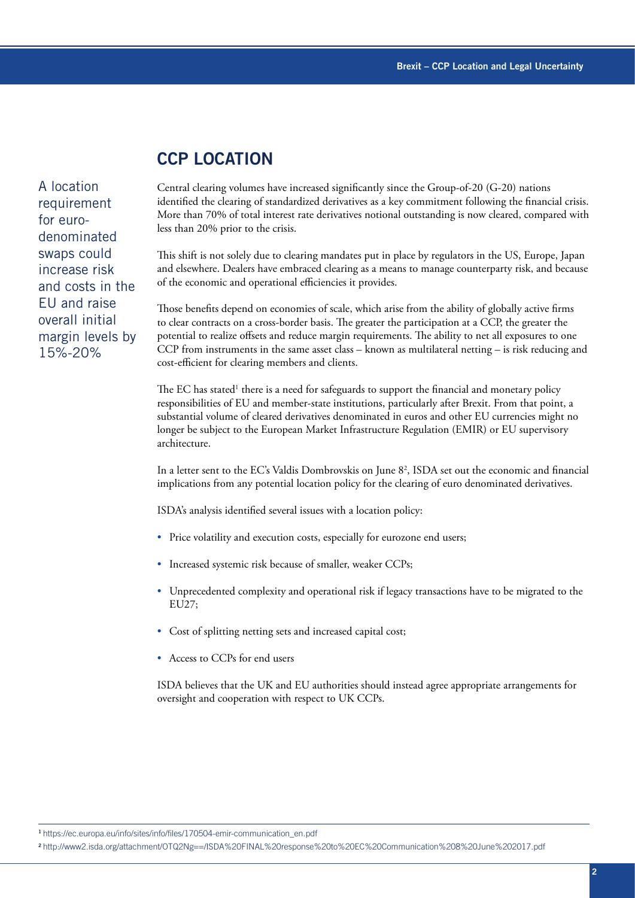# **CCP LOCATION**

A location requirement for eurodenominated swaps could increase risk and costs in the EU and raise overall initial margin levels by 15%-20%

Central clearing volumes have increased significantly since the Group-of-20 (G-20) nations identified the clearing of standardized derivatives as a key commitment following the financial crisis. More than 70% of total interest rate derivatives notional outstanding is now cleared, compared with less than 20% prior to the crisis.

This shift is not solely due to clearing mandates put in place by regulators in the US, Europe, Japan and elsewhere. Dealers have embraced clearing as a means to manage counterparty risk, and because of the economic and operational efficiencies it provides.

Those benefits depend on economies of scale, which arise from the ability of globally active firms to clear contracts on a cross-border basis. The greater the participation at a CCP, the greater the potential to realize offsets and reduce margin requirements. The ability to net all exposures to one CCP from instruments in the same asset class – known as multilateral netting – is risk reducing and cost-efficient for clearing members and clients.

The EC has stated<sup>1</sup> there is a need for safeguards to support the financial and monetary policy responsibilities of EU and member-state institutions, particularly after Brexit. From that point, a substantial volume of cleared derivatives denominated in euros and other EU currencies might no longer be subject to the European Market Infrastructure Regulation (EMIR) or EU supervisory architecture.

In a letter sent to the EC's Valdis Dombrovskis on June 82 , ISDA set out the economic and financial implications from any potential location policy for the clearing of euro denominated derivatives.

ISDA's analysis identified several issues with a location policy:

- Price volatility and execution costs, especially for eurozone end users;
- Increased systemic risk because of smaller, weaker CCPs;
- Unprecedented complexity and operational risk if legacy transactions have to be migrated to the EU27;
- Cost of splitting netting sets and increased capital cost;
- Access to CCPs for end users

ISDA believes that the UK and EU authorities should instead agree appropriate arrangements for oversight and cooperation with respect to UK CCPs.

<sup>1</sup>https://ec.europa.eu/info/sites/info/files/170504-emir-communication\_en.pdf

<sup>2</sup>http://www2.isda.org/attachment/OTQ2Ng==/ISDA%20FINAL%20response%20to%20EC%20Communication%208%20June%202017.pdf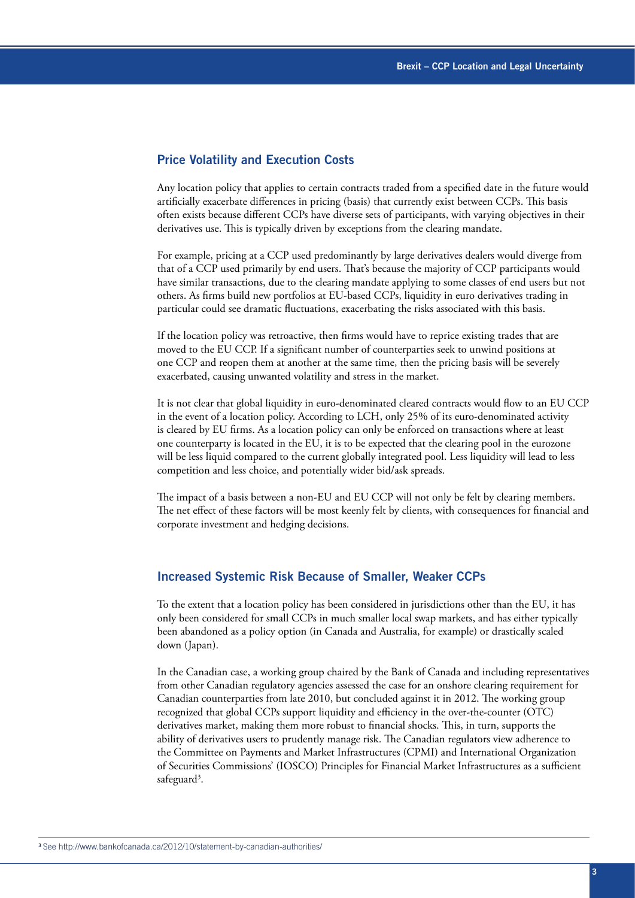#### Price Volatility and Execution Costs

Any location policy that applies to certain contracts traded from a specified date in the future would artificially exacerbate differences in pricing (basis) that currently exist between CCPs. This basis often exists because different CCPs have diverse sets of participants, with varying objectives in their derivatives use. This is typically driven by exceptions from the clearing mandate.

For example, pricing at a CCP used predominantly by large derivatives dealers would diverge from that of a CCP used primarily by end users. That's because the majority of CCP participants would have similar transactions, due to the clearing mandate applying to some classes of end users but not others. As firms build new portfolios at EU-based CCPs, liquidity in euro derivatives trading in particular could see dramatic fluctuations, exacerbating the risks associated with this basis.

If the location policy was retroactive, then firms would have to reprice existing trades that are moved to the EU CCP. If a significant number of counterparties seek to unwind positions at one CCP and reopen them at another at the same time, then the pricing basis will be severely exacerbated, causing unwanted volatility and stress in the market.

It is not clear that global liquidity in euro-denominated cleared contracts would flow to an EU CCP in the event of a location policy. According to LCH, only 25% of its euro-denominated activity is cleared by EU firms. As a location policy can only be enforced on transactions where at least one counterparty is located in the EU, it is to be expected that the clearing pool in the eurozone will be less liquid compared to the current globally integrated pool. Less liquidity will lead to less competition and less choice, and potentially wider bid/ask spreads.

The impact of a basis between a non-EU and EU CCP will not only be felt by clearing members. The net effect of these factors will be most keenly felt by clients, with consequences for financial and corporate investment and hedging decisions.

#### Increased Systemic Risk Because of Smaller, Weaker CCPs

To the extent that a location policy has been considered in jurisdictions other than the EU, it has only been considered for small CCPs in much smaller local swap markets, and has either typically been abandoned as a policy option (in Canada and Australia, for example) or drastically scaled down (Japan).

In the Canadian case, a working group chaired by the Bank of Canada and including representatives from other Canadian regulatory agencies assessed the case for an onshore clearing requirement for Canadian counterparties from late 2010, but concluded against it in 2012. The working group recognized that global CCPs support liquidity and efficiency in the over-the-counter (OTC) derivatives market, making them more robust to financial shocks. This, in turn, supports the ability of derivatives users to prudently manage risk. The Canadian regulators view adherence to the Committee on Payments and Market Infrastructures (CPMI) and International Organization of Securities Commissions' (IOSCO) Principles for Financial Market Infrastructures as a sufficient safeguard<sup>3</sup>.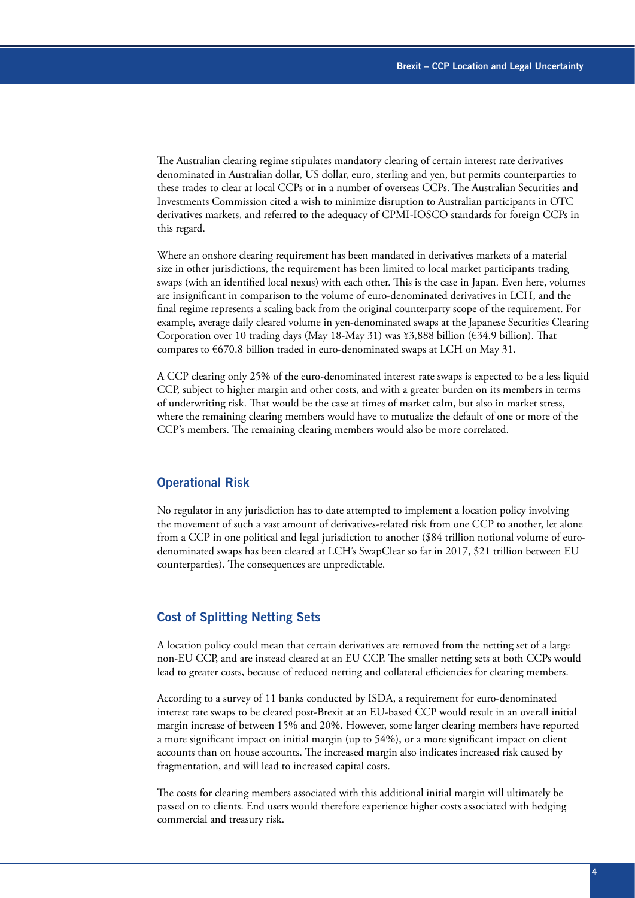The Australian clearing regime stipulates mandatory clearing of certain interest rate derivatives denominated in Australian dollar, US dollar, euro, sterling and yen, but permits counterparties to these trades to clear at local CCPs or in a number of overseas CCPs. The Australian Securities and Investments Commission cited a wish to minimize disruption to Australian participants in OTC derivatives markets, and referred to the adequacy of CPMI-IOSCO standards for foreign CCPs in this regard.

Where an onshore clearing requirement has been mandated in derivatives markets of a material size in other jurisdictions, the requirement has been limited to local market participants trading swaps (with an identified local nexus) with each other. This is the case in Japan. Even here, volumes are insignificant in comparison to the volume of euro-denominated derivatives in LCH, and the final regime represents a scaling back from the original counterparty scope of the requirement. For example, average daily cleared volume in yen-denominated swaps at the Japanese Securities Clearing Corporation over 10 trading days (May 18-May 31) was ¥3,888 billion ( $634.9$  billion). That compares to €670.8 billion traded in euro-denominated swaps at LCH on May 31.

A CCP clearing only 25% of the euro-denominated interest rate swaps is expected to be a less liquid CCP, subject to higher margin and other costs, and with a greater burden on its members in terms of underwriting risk. That would be the case at times of market calm, but also in market stress, where the remaining clearing members would have to mutualize the default of one or more of the CCP's members. The remaining clearing members would also be more correlated.

#### Operational Risk

No regulator in any jurisdiction has to date attempted to implement a location policy involving the movement of such a vast amount of derivatives-related risk from one CCP to another, let alone from a CCP in one political and legal jurisdiction to another (\$84 trillion notional volume of eurodenominated swaps has been cleared at LCH's SwapClear so far in 2017, \$21 trillion between EU counterparties). The consequences are unpredictable.

#### Cost of Splitting Netting Sets

A location policy could mean that certain derivatives are removed from the netting set of a large non-EU CCP, and are instead cleared at an EU CCP. The smaller netting sets at both CCPs would lead to greater costs, because of reduced netting and collateral efficiencies for clearing members.

According to a survey of 11 banks conducted by ISDA, a requirement for euro-denominated interest rate swaps to be cleared post-Brexit at an EU-based CCP would result in an overall initial margin increase of between 15% and 20%. However, some larger clearing members have reported a more significant impact on initial margin (up to 54%), or a more significant impact on client accounts than on house accounts. The increased margin also indicates increased risk caused by fragmentation, and will lead to increased capital costs.

The costs for clearing members associated with this additional initial margin will ultimately be passed on to clients. End users would therefore experience higher costs associated with hedging commercial and treasury risk.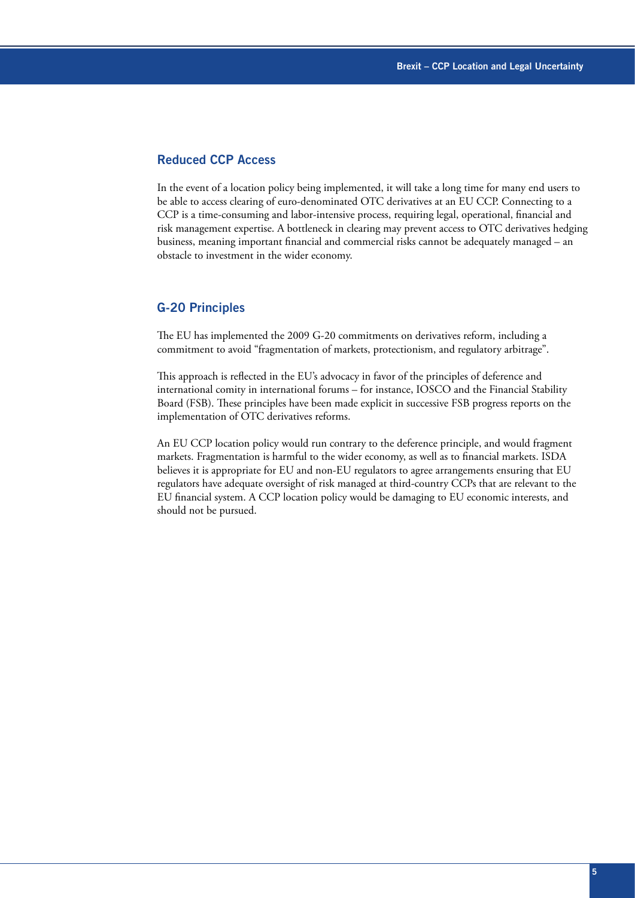### Reduced CCP Access

In the event of a location policy being implemented, it will take a long time for many end users to be able to access clearing of euro-denominated OTC derivatives at an EU CCP. Connecting to a CCP is a time-consuming and labor-intensive process, requiring legal, operational, financial and risk management expertise. A bottleneck in clearing may prevent access to OTC derivatives hedging business, meaning important financial and commercial risks cannot be adequately managed – an obstacle to investment in the wider economy.

#### G-20 Principles

The EU has implemented the 2009 G-20 commitments on derivatives reform, including a commitment to avoid "fragmentation of markets, protectionism, and regulatory arbitrage".

This approach is reflected in the EU's advocacy in favor of the principles of deference and international comity in international forums – for instance, IOSCO and the Financial Stability Board (FSB). These principles have been made explicit in successive FSB progress reports on the implementation of OTC derivatives reforms.

An EU CCP location policy would run contrary to the deference principle, and would fragment markets. Fragmentation is harmful to the wider economy, as well as to financial markets. ISDA believes it is appropriate for EU and non-EU regulators to agree arrangements ensuring that EU regulators have adequate oversight of risk managed at third-country CCPs that are relevant to the EU financial system. A CCP location policy would be damaging to EU economic interests, and should not be pursued.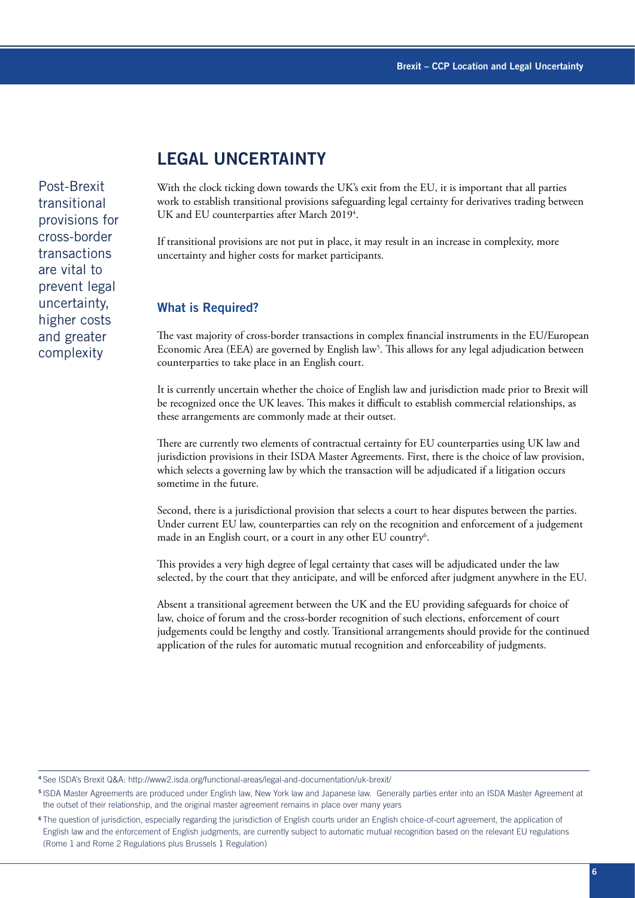# **LEGAL UNCERTAINTY**

Post-Brexit transitional provisions for cross-border transactions are vital to prevent legal uncertainty, higher costs and greater complexity

With the clock ticking down towards the UK's exit from the EU, it is important that all parties work to establish transitional provisions safeguarding legal certainty for derivatives trading between UK and EU counterparties after March 2019<sup>4</sup>.

If transitional provisions are not put in place, it may result in an increase in complexity, more uncertainty and higher costs for market participants.

#### What is Required?

The vast majority of cross-border transactions in complex financial instruments in the EU/European Economic Area (EEA) are governed by English law<sup>5</sup>. This allows for any legal adjudication between counterparties to take place in an English court.

It is currently uncertain whether the choice of English law and jurisdiction made prior to Brexit will be recognized once the UK leaves. This makes it difficult to establish commercial relationships, as these arrangements are commonly made at their outset.

There are currently two elements of contractual certainty for EU counterparties using UK law and jurisdiction provisions in their ISDA Master Agreements. First, there is the choice of law provision, which selects a governing law by which the transaction will be adjudicated if a litigation occurs sometime in the future.

Second, there is a jurisdictional provision that selects a court to hear disputes between the parties. Under current EU law, counterparties can rely on the recognition and enforcement of a judgement made in an English court, or a court in any other EU country<sup>6</sup>.

This provides a very high degree of legal certainty that cases will be adjudicated under the law selected, by the court that they anticipate, and will be enforced after judgment anywhere in the EU.

Absent a transitional agreement between the UK and the EU providing safeguards for choice of law, choice of forum and the cross-border recognition of such elections, enforcement of court judgements could be lengthy and costly. Transitional arrangements should provide for the continued application of the rules for automatic mutual recognition and enforceability of judgments.

<sup>4</sup>See ISDA's Brexit Q&A: http://www2.isda.org/functional-areas/legal-and-documentation/uk-brexit/

<sup>5</sup>ISDA Master Agreements are produced under English law, New York law and Japanese law. Generally parties enter into an ISDA Master Agreement at the outset of their relationship, and the original master agreement remains in place over many years

<sup>&</sup>lt;sup>6</sup>The question of jurisdiction, especially regarding the jurisdiction of English courts under an English choice-of-court agreement, the application of English law and the enforcement of English judgments, are currently subject to automatic mutual recognition based on the relevant EU regulations (Rome 1 and Rome 2 Regulations plus Brussels 1 Regulation)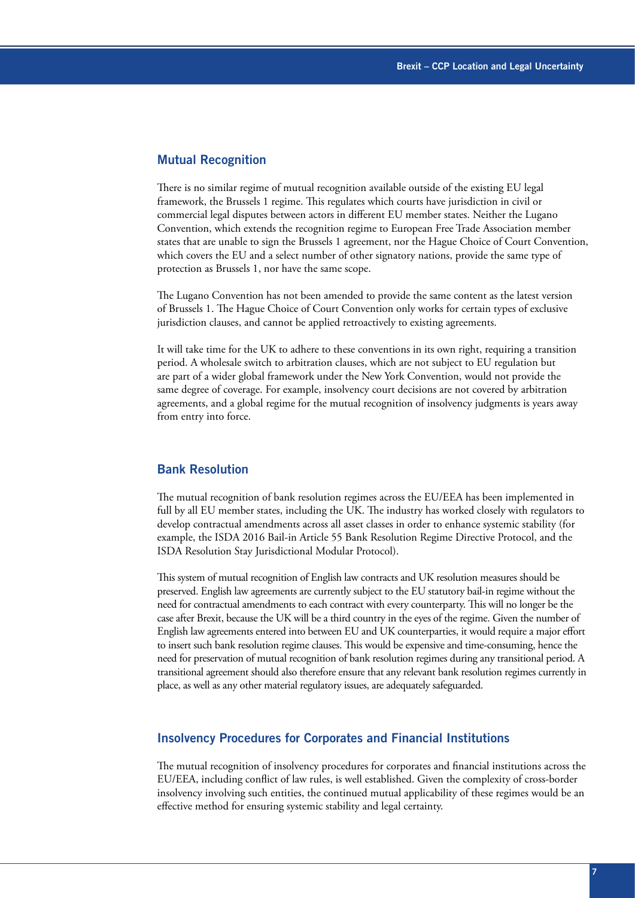#### Mutual Recognition

There is no similar regime of mutual recognition available outside of the existing EU legal framework, the Brussels 1 regime. This regulates which courts have jurisdiction in civil or commercial legal disputes between actors in different EU member states. Neither the Lugano Convention, which extends the recognition regime to European Free Trade Association member states that are unable to sign the Brussels 1 agreement, nor the Hague Choice of Court Convention, which covers the EU and a select number of other signatory nations, provide the same type of protection as Brussels 1, nor have the same scope.

The Lugano Convention has not been amended to provide the same content as the latest version of Brussels 1. The Hague Choice of Court Convention only works for certain types of exclusive jurisdiction clauses, and cannot be applied retroactively to existing agreements.

It will take time for the UK to adhere to these conventions in its own right, requiring a transition period. A wholesale switch to arbitration clauses, which are not subject to EU regulation but are part of a wider global framework under the New York Convention, would not provide the same degree of coverage. For example, insolvency court decisions are not covered by arbitration agreements, and a global regime for the mutual recognition of insolvency judgments is years away from entry into force.

#### Bank Resolution

The mutual recognition of bank resolution regimes across the EU/EEA has been implemented in full by all EU member states, including the UK. The industry has worked closely with regulators to develop contractual amendments across all asset classes in order to enhance systemic stability (for example, the ISDA 2016 Bail-in Article 55 Bank Resolution Regime Directive Protocol, and the ISDA Resolution Stay Jurisdictional Modular Protocol).

This system of mutual recognition of English law contracts and UK resolution measures should be preserved. English law agreements are currently subject to the EU statutory bail-in regime without the need for contractual amendments to each contract with every counterparty. This will no longer be the case after Brexit, because the UK will be a third country in the eyes of the regime. Given the number of English law agreements entered into between EU and UK counterparties, it would require a major effort to insert such bank resolution regime clauses. This would be expensive and time-consuming, hence the need for preservation of mutual recognition of bank resolution regimes during any transitional period. A transitional agreement should also therefore ensure that any relevant bank resolution regimes currently in place, as well as any other material regulatory issues, are adequately safeguarded.

#### Insolvency Procedures for Corporates and Financial Institutions

The mutual recognition of insolvency procedures for corporates and financial institutions across the EU/EEA, including conflict of law rules, is well established. Given the complexity of cross-border insolvency involving such entities, the continued mutual applicability of these regimes would be an effective method for ensuring systemic stability and legal certainty.